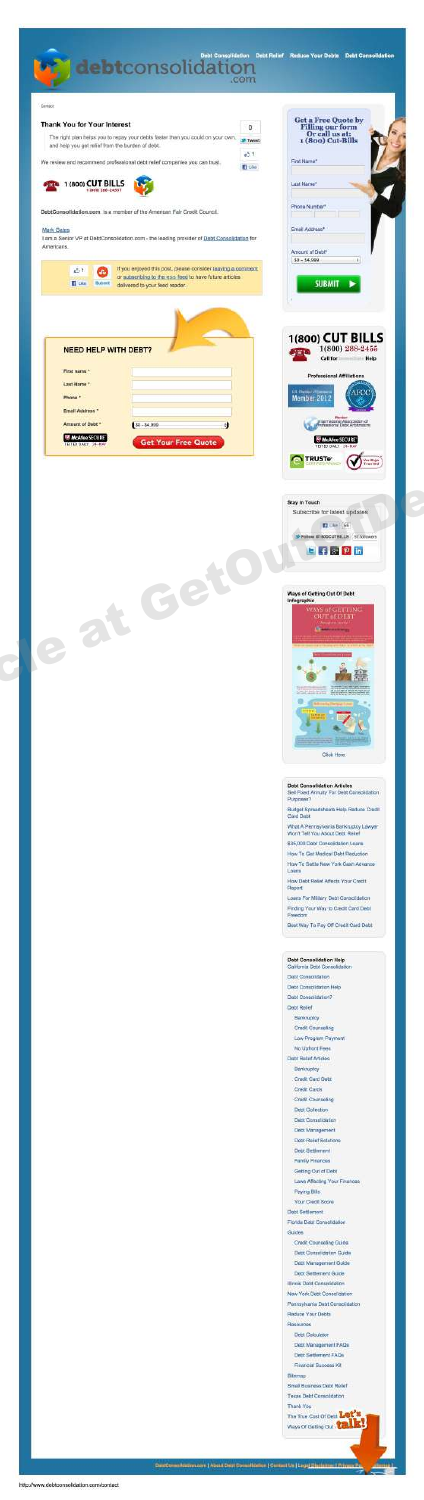

E.

| Thank You for Your Interest<br>The right plan helps you to repay your debts faster than you could on your own.                | Get a Free Quote by<br>o<br>Filling our form<br>Or call us at:<br>1 (800) Cut-Bills<br><b>3P Tweet</b> |
|-------------------------------------------------------------------------------------------------------------------------------|--------------------------------------------------------------------------------------------------------|
| and help you get relief from the burden of debt.<br>We review and recommend professional debt relief companies you can trust. | $+51$<br>First Name*<br>El Uko                                                                         |
| # 1 (800) CUT BILLS                                                                                                           | Last Name!                                                                                             |
| 18091288-24557                                                                                                                | Phone Number                                                                                           |
| DebtConsolidation.com is a member of the American Fair Credit Council.                                                        | ı<br>Email Address*                                                                                    |
| <b>Mark Gates</b><br>I am a Senior VP at DebtConsolidation.com - the leading provider of Debt Consolidation for<br>Americans. |                                                                                                        |
| If you enjoyed this post, please consider leaving a comment                                                                   | Amount of Diebl <sup>4</sup><br>$50 - 54,999$<br>$-14$                                                 |
| 凸生<br>or subscribing to the ross feed to have future articles<br><b>El ciud</b><br>Tubert<br>delivered to your feed reader.   | <b>SUBMIT</b><br>٠                                                                                     |
|                                                                                                                               |                                                                                                        |
| <b>NEED HELP WITH DEBT?</b>                                                                                                   | 1(800) CUT BILLS<br>1(800) 288-2455                                                                    |
| First name *                                                                                                                  | <b>Help</b><br>Call for<br>Professional Affiliations                                                   |
| Last Name *<br>Phone *                                                                                                        | AFC<br>Member 2012                                                                                     |
| Email Address *                                                                                                               |                                                                                                        |
| Amount of Dobt *<br>80-84.999<br>d<br><b>WANG SECURE</b><br><b>Get Your Free Quote</b>                                        | Premeioral As<br>pointinn af<br><b>Waldee SECURE</b>                                                   |
|                                                                                                                               | <b>TRUSTe</b>                                                                                          |
|                                                                                                                               |                                                                                                        |
|                                                                                                                               | <b>Stay In Touch</b><br>Subscribe for latest updates                                                   |
|                                                                                                                               | ET Uke 66<br>Siles 01800CUTBILLS (C followers)                                                         |
|                                                                                                                               | $E \leftarrow$ $E \leftarrow$ $P \ln$                                                                  |
| Get                                                                                                                           |                                                                                                        |
|                                                                                                                               | Ways of Getting Out Of Debt<br><b>Infographic</b><br><b><i>GETTING</i></b>                             |
| at                                                                                                                            | $\displaystyle \underbrace{\text{OUT of DLE}}$                                                         |
| $\tilde{\mathbf{z}}$                                                                                                          |                                                                                                        |
|                                                                                                                               |                                                                                                        |
|                                                                                                                               |                                                                                                        |
|                                                                                                                               |                                                                                                        |
|                                                                                                                               |                                                                                                        |
|                                                                                                                               | <b>Click Here</b>                                                                                      |
|                                                                                                                               | <b>Debt Consolidation Articles</b>                                                                     |
|                                                                                                                               | Sell Fixed Annuity For Debt Consolidation<br>Purposes?                                                 |
|                                                                                                                               | Budget Spreadsheets Help Reduce Credit<br>Card Debt<br>What A Pennsylvania Bankruptcy Lawyer           |
|                                                                                                                               | Won't Tell You About Debt Relief<br>\$35,000 Debt Consolidation Loans                                  |
|                                                                                                                               | How To Get Medical Debt Reduction<br>How To Sattle New York Cash Advance                               |
|                                                                                                                               | Loans<br>How Debt Relief Affects Your Credit<br>Report                                                 |
|                                                                                                                               | Loans For Millary Dabt Consolidation<br>Finding Your Way to Credit Card Debt                           |
|                                                                                                                               | Freedom<br>Best Way To Pay Off Credit Card Dabit                                                       |
|                                                                                                                               | <b>Debt Consolidation Help</b>                                                                         |
|                                                                                                                               | California Debt Consolidation<br>Debt Consolidation                                                    |
|                                                                                                                               | Debt Conspictation Help<br>Datit Consolidation?                                                        |
|                                                                                                                               | Oelst Relief<br>Bankruptcy                                                                             |
|                                                                                                                               | Credit Counseling<br>Low Program Payment                                                               |
|                                                                                                                               | No Uphont Fees<br>Debt Relat Articles                                                                  |
|                                                                                                                               | Bankruptcy<br>Credit Card Oets                                                                         |
|                                                                                                                               | <b>Credit Cards</b><br>Credit Counseling                                                               |
|                                                                                                                               | <b>Dest Collection</b><br>Debt Constitution                                                            |
|                                                                                                                               | Debt Management<br>Debt-Refer Solutions                                                                |
|                                                                                                                               | <b>Oest Settlement</b><br>Family Finances                                                              |
|                                                                                                                               | Getting Out of Debt<br>Laws Affecting Your Finances                                                    |
|                                                                                                                               | Paying Bills<br>Your Credit Score                                                                      |
|                                                                                                                               | <b>Clebt Settlement</b><br>Florida Debt Consolidation                                                  |
|                                                                                                                               | Guides.<br>Credit Counseling Quide                                                                     |
|                                                                                                                               | Debt Consolidation Guide<br>Datit Management Guide                                                     |
|                                                                                                                               | Doct Settement Guide<br><b>Illinois Date Consolidation</b>                                             |
|                                                                                                                               | New York Debt Consolidation<br>Perinsylvania Dabt Consolidation                                        |
|                                                                                                                               | Reduce Your Debts<br>Resources                                                                         |
|                                                                                                                               |                                                                                                        |

sources<br>Debt Colculator<br>Debt Nanagement FAQs<br>Debt Settlement FAQs<br>Financial Bucossa Kit

Hernap<br>Imail Business Debt Relie<br>Imail Business Debt Relie<br>Imail Mu ank You<br>e True Ci

<sup>bet's</sup><br>talk!